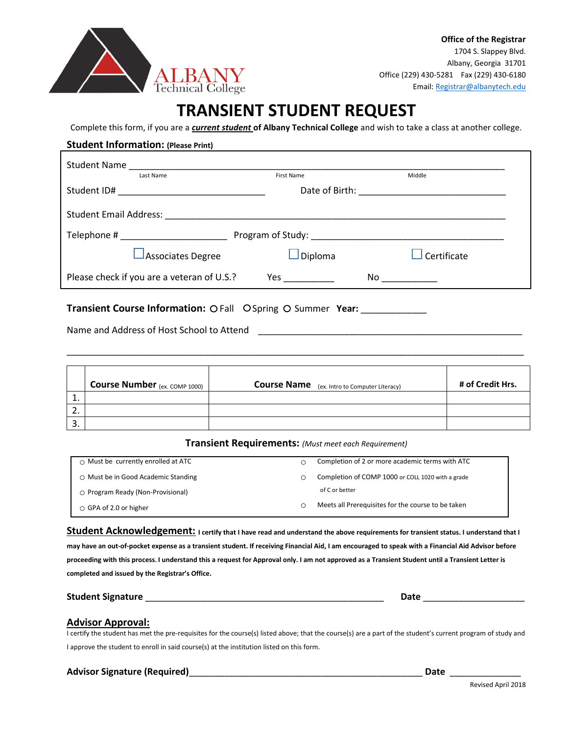

### **TRANSIENT STUDENT REQUEST**

Complete this form, if you are a *current student* **of Albany Technical College** and wish to take a class at another college.

# **Student Information: (Please Print)** Student Name \_\_\_\_\_\_\_\_\_\_\_\_\_\_\_\_\_\_\_\_\_\_\_\_\_\_\_\_\_\_\_\_\_\_\_\_\_\_\_\_\_\_\_\_\_\_\_\_\_\_\_\_\_\_\_\_\_\_\_\_\_\_\_\_\_\_\_\_\_\_\_\_\_\_ **First Name** Student ID# \_\_\_\_\_\_\_\_\_\_\_\_\_\_\_\_\_\_\_\_\_\_\_\_\_\_\_\_\_ Date of Birth: \_\_\_\_\_\_\_\_\_\_\_\_\_\_\_\_\_\_\_\_\_\_\_\_\_\_\_\_\_ Student Email Address: **with a student and a student Email Address** and a student of the student of the student of the student of the student of the student of the student of the student of the student of the student of th Telephone # \_\_\_\_\_\_\_\_\_\_\_\_\_\_\_\_\_\_\_\_\_ Program of Study: \_\_\_\_\_\_\_\_\_\_\_\_\_\_\_\_\_\_\_\_\_\_\_\_\_\_\_\_\_\_\_\_\_\_\_\_\_\_  $\Box$  Associates Degree  $\Box$  Diploma  $\Box$  Certificate Please check if you are a veteran of U.S.? Yes \_\_\_\_\_\_\_\_\_\_\_\_\_\_\_\_\_\_\_\_\_\_\_\_\_\_\_\_\_\_\_\_\_

**Transient Course Information:** O Fall O Spring O Summer **Year:** \_\_\_\_\_\_\_\_\_\_\_\_\_\_\_\_

Name and Address of Host School to Attend \_\_\_\_\_\_\_\_\_\_\_\_\_\_\_\_\_\_\_\_\_\_\_\_\_\_\_\_\_\_\_\_\_\_\_\_\_\_\_\_\_\_\_\_\_\_\_\_\_\_\_\_

|    | Course Number (ex. COMP 1000) | <b>Course Name</b> (ex. Intro to Computer Literacy) | # of Credit Hrs. |
|----|-------------------------------|-----------------------------------------------------|------------------|
| ᆠ. |                               |                                                     |                  |
| Z. |                               |                                                     |                  |
| 3  |                               |                                                     |                  |

\_\_\_\_\_\_\_\_\_\_\_\_\_\_\_\_\_\_\_\_\_\_\_\_\_\_\_\_\_\_\_\_\_\_\_\_\_\_\_\_\_\_\_\_\_\_\_\_\_\_\_\_\_\_\_\_\_\_\_\_\_\_\_\_\_\_\_\_\_\_\_\_\_\_\_\_\_\_\_\_\_\_\_\_\_\_\_\_\_\_

#### **Transient Requirements:** *(Must meet each Requirement)* o Must be currently enrolled at ATC o Must be in Good Academic Standing o Program Ready (Non-Provisional) o GPA of 2.0 or higher o Completion of 2 or more academic terms with ATC o Completion of COMP 1000 or COLL 1020 with a grade of C or better o Meets all Prerequisites for the course to be taken

**Student Acknowledgement: I certify that I have read and understand the above requirements for transient status. I understand that I may have an out-of-pocket expense as a transient student. If receiving Financial Aid, I am encouraged to speak with a Financial Aid Advisor before proceeding with this process. I understand this a request for Approval only. I am not approved as a Transient Student until a Transient Letter is completed and issued by the Registrar's Office.**

**Student Signature** \_\_\_\_\_\_\_\_\_\_\_\_\_\_\_\_\_\_\_\_\_\_\_\_\_\_\_\_\_\_\_\_\_\_\_\_\_\_\_\_\_\_\_\_\_\_\_ **Date** \_\_\_\_\_\_\_\_\_\_\_\_\_\_\_\_\_\_\_\_

### **Advisor Approval:**

I certify the student has met the pre-requisites for the course(s) listed above; that the course(s) are a part of the student's current program of study and I approve the student to enroll in said course(s) at the institution listed on this form.

### **Advisor Signature (Required)**\_\_\_\_\_\_\_\_\_\_\_\_\_\_\_\_\_\_\_\_\_\_\_\_\_\_\_\_\_\_\_\_\_\_\_\_\_\_\_\_\_\_\_\_\_\_ **Date** \_\_\_\_\_\_\_\_\_\_\_\_\_\_